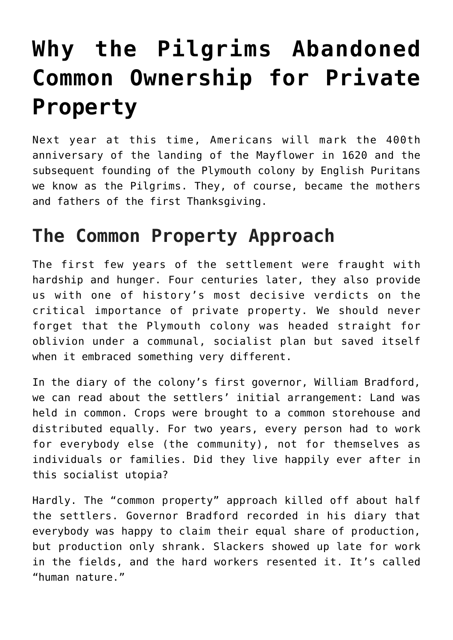## **[Why the Pilgrims Abandoned](https://intellectualtakeout.org/2019/11/why-the-pilgrims-abandoned-common-ownership-for-private-property/) [Common Ownership for Private](https://intellectualtakeout.org/2019/11/why-the-pilgrims-abandoned-common-ownership-for-private-property/) [Property](https://intellectualtakeout.org/2019/11/why-the-pilgrims-abandoned-common-ownership-for-private-property/)**

Next year at this time, Americans will mark the 400th anniversary of the landing of the Mayflower in 1620 and the subsequent founding of the Plymouth colony by English Puritans we know as the Pilgrims. They, of course, became the mothers and fathers of the first Thanksgiving.

## **The Common Property Approach**

The first few years of the settlement were fraught with hardship and hunger. Four centuries later, they also provide us with one of history's most decisive verdicts on the critical importance of private property. We should never forget that the Plymouth colony was headed straight for oblivion under a communal, socialist plan but saved itself when it embraced something very different.

In the diary of the colony's first governor, William Bradford, we can read about the settlers' initial arrangement: Land was held in common. Crops were brought to a common storehouse and distributed equally. For two years, every person had to work for everybody else (the community), not for themselves as individuals or families. Did they live happily ever after in this socialist utopia?

Hardly. The "common property" approach killed off about half the settlers. Governor Bradford recorded in his diary that everybody was happy to claim their equal share of production, but production only shrank. Slackers showed up late for work in the fields, and the hard workers resented it. It's called "human nature."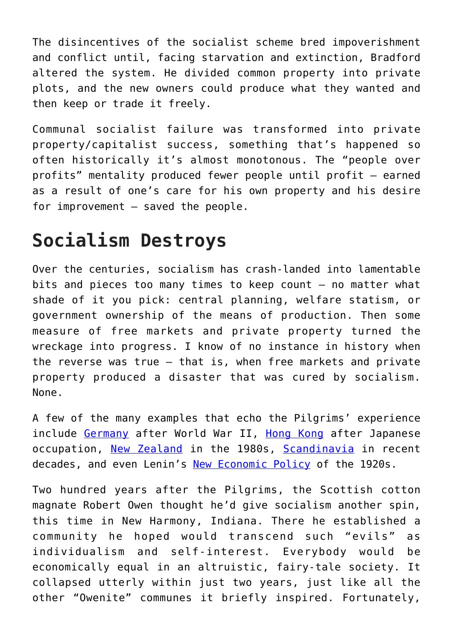The disincentives of the socialist scheme bred impoverishment and conflict until, facing starvation and extinction, Bradford altered the system. He divided common property into private plots, and the new owners could produce what they wanted and then keep or trade it freely.

Communal socialist failure was transformed into private property/capitalist success, something that's happened so often historically it's almost monotonous. The "people over profits" mentality produced fewer people until profit – earned as a result of one's care for his own property and his desire for improvement – saved the people.

## **Socialism Destroys**

Over the centuries, socialism has crash-landed into lamentable bits and pieces too many times to keep count – no matter what shade of it you pick: central planning, welfare statism, or government ownership of the means of production. Then some measure of free markets and private property turned the wreckage into progress. I know of no instance in history when the reverse was true – that is, when free markets and private property produced a disaster that was cured by socialism. None.

A few of the many examples that echo the Pilgrims' experience include [Germany](https://fee.org/articles/lemonade-from-lemons/) after World War II, [Hong Kong](https://fee.org/articles/the-man-behind-the-hong-kong-miracle/) after Japanese occupation, [New Zealand](https://www.mackinac.org/V1997-14) in the 1980s, [Scandinavia](https://times-herald.com/news/2019/09/dont-call-scandinavian-countries-socialist) in recent decades, and even Lenin's [New Economic Policy](https://fee.org/articles/soviet-admissions-communism-doesnt-work/) of the 1920s.

Two hundred years after the Pilgrims, the Scottish cotton magnate Robert Owen thought he'd give socialism another spin, this time in New Harmony, Indiana. There he established a community he hoped would transcend such "evils" as individualism and self-interest. Everybody would be economically equal in an altruistic, fairy-tale society. It collapsed utterly within just two years, just like all the other "Owenite" communes it briefly inspired. Fortunately,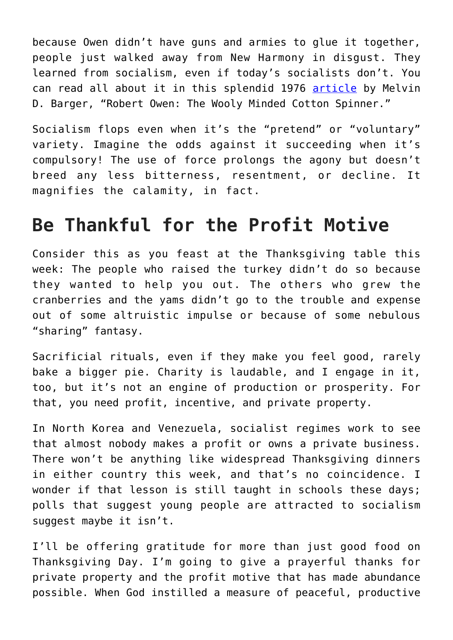because Owen didn't have guns and armies to glue it together, people just walked away from New Harmony in disgust. They learned from socialism, even if today's socialists don't. You can read all about it in this splendid 1976 [article](https://fee.org/articles/robert-owen-the-woolly-minded-cotton-spinner/) by Melvin D. Barger, "Robert Owen: The Wooly Minded Cotton Spinner."

Socialism flops even when it's the "pretend" or "voluntary" variety. Imagine the odds against it succeeding when it's compulsory! The use of force prolongs the agony but doesn't breed any less bitterness, resentment, or decline. It magnifies the calamity, in fact.

## **Be Thankful for the Profit Motive**

Consider this as you feast at the Thanksgiving table this week: The people who raised the turkey didn't do so because they wanted to help you out. The others who grew the cranberries and the yams didn't go to the trouble and expense out of some altruistic impulse or because of some nebulous "sharing" fantasy.

Sacrificial rituals, even if they make you feel good, rarely bake a bigger pie. Charity is laudable, and I engage in it, too, but it's not an engine of production or prosperity. For that, you need profit, incentive, and private property.

In North Korea and Venezuela, socialist regimes work to see that almost nobody makes a profit or owns a private business. There won't be anything like widespread Thanksgiving dinners in either country this week, and that's no coincidence. I wonder if that lesson is still taught in schools these days; polls that suggest young people are attracted to socialism suggest maybe it isn't.

I'll be offering gratitude for more than just good food on Thanksgiving Day. I'm going to give a prayerful thanks for private property and the profit motive that has made abundance possible. When God instilled a measure of peaceful, productive